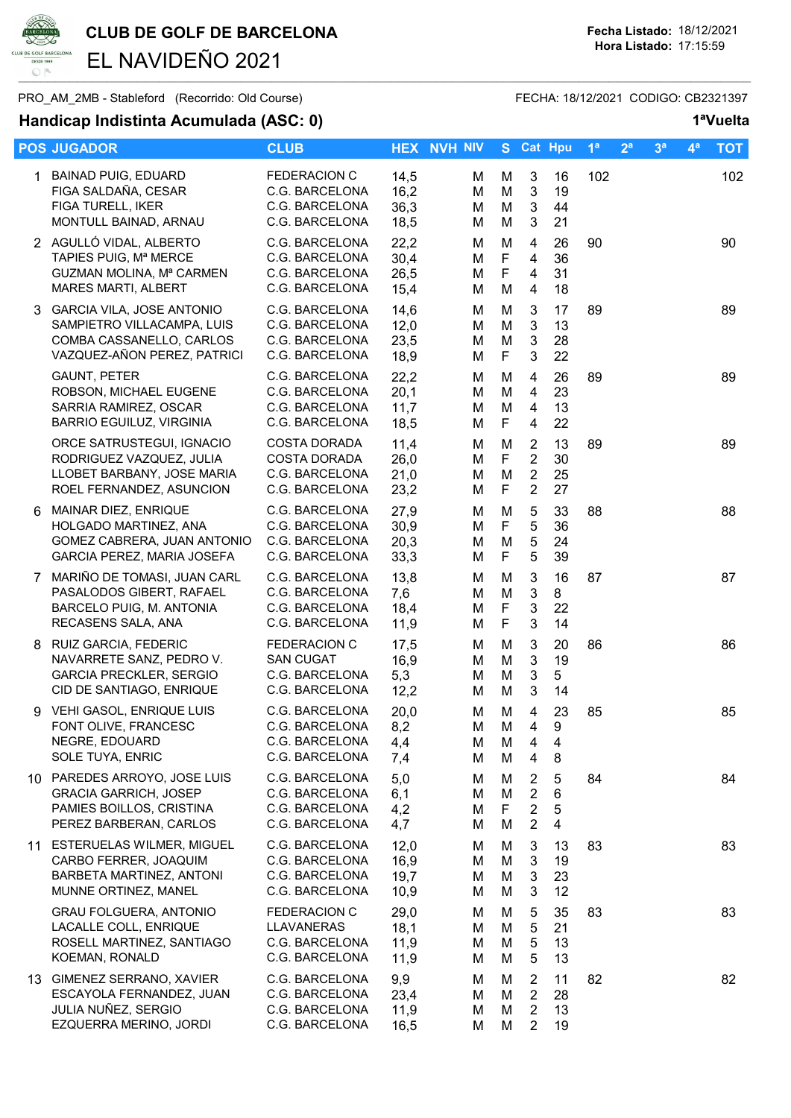

CLUB DE GOLF DE BARCELONA<br>Fecha Listado: 18/12/2021<br>Hora Listado: 17:15:59 EL NAVIDEÑO 2021

## PRO\_AM\_2MB - Stableford (Recorrido: Old Course) FECHA: 18/12/2021 CODIGO: CB2321397

## Handicap Indistinta Acumulada (ASC: 0) 1ªVuelta

|   | Handicap Indistinta Acumulada (ASC. V)                                                                               |                                                                                |                              |                    |                   |                                                                      |                                         |                |                |                |                | <b>A</b> Neite |
|---|----------------------------------------------------------------------------------------------------------------------|--------------------------------------------------------------------------------|------------------------------|--------------------|-------------------|----------------------------------------------------------------------|-----------------------------------------|----------------|----------------|----------------|----------------|----------------|
|   | <b>POS JUGADOR</b>                                                                                                   | <b>CLUB</b>                                                                    |                              | <b>HEX NVH NIV</b> |                   | S Cat Hpu                                                            |                                         | 1 <sup>a</sup> | 2 <sup>a</sup> | 3 <sup>a</sup> | 4 <sup>a</sup> | <b>TOT</b>     |
|   | 1 BAINAD PUIG, EDUARD<br>FIGA SALDAÑA, CESAR<br>FIGA TURELL, IKER<br>MONTULL BAINAD, ARNAU                           | <b>FEDERACION C</b><br>C.G. BARCELONA<br>C.G. BARCELONA<br>C.G. BARCELONA      | 14,5<br>16,2<br>36,3<br>18,5 | М<br>M<br>М<br>М   | M<br>M<br>M<br>M  | $\sqrt{3}$<br>$\sqrt{3}$<br>$\mathbf{3}$<br>3                        | 16<br>19<br>44<br>21                    | 102            |                |                |                | 102            |
|   | 2 AGULLÓ VIDAL, ALBERTO<br>TAPIES PUIG, Mª MERCE<br>GUZMAN MOLINA, Mª CARMEN<br>MARES MARTI, ALBERT                  | C.G. BARCELONA<br>C.G. BARCELONA<br>C.G. BARCELONA<br>C.G. BARCELONA           | 22,2<br>30,4<br>26,5<br>15,4 | M<br>M<br>M<br>M   | M<br>F<br>F<br>M  | 4<br>$\overline{4}$<br>$\overline{4}$<br>$\overline{4}$              | 26<br>36<br>31<br>18                    | 90             |                |                |                | 90             |
|   | 3 GARCIA VILA, JOSE ANTONIO<br>SAMPIETRO VILLACAMPA, LUIS<br>COMBA CASSANELLO, CARLOS<br>VAZQUEZ-AÑON PEREZ, PATRICI | C.G. BARCELONA<br>C.G. BARCELONA<br>C.G. BARCELONA<br>C.G. BARCELONA           | 14,6<br>12,0<br>23,5<br>18,9 | м<br>M<br>M<br>м   | M<br>M<br>M<br>F  | 3<br>$\mathbf{3}$<br>$\mathbf{3}$<br>$\mathbf{3}$                    | 17<br>13<br>28<br>22                    | 89             |                |                |                | 89             |
|   | <b>GAUNT, PETER</b><br>ROBSON, MICHAEL EUGENE<br>SARRIA RAMIREZ, OSCAR<br><b>BARRIO EGUILUZ, VIRGINIA</b>            | C.G. BARCELONA<br>C.G. BARCELONA<br>C.G. BARCELONA<br>C.G. BARCELONA           | 22,2<br>20,1<br>11,7<br>18,5 | м<br>M<br>M<br>M   | M<br>M<br>M<br>F  | 4<br>$\overline{4}$<br>$\overline{4}$<br>$\overline{4}$              | 26<br>23<br>13<br>22                    | 89             |                |                |                | 89             |
|   | ORCE SATRUSTEGUI, IGNACIO<br>RODRIGUEZ VAZQUEZ, JULIA<br>LLOBET BARBANY, JOSE MARIA<br>ROEL FERNANDEZ, ASUNCION      | <b>COSTA DORADA</b><br><b>COSTA DORADA</b><br>C.G. BARCELONA<br>C.G. BARCELONA | 11,4<br>26,0<br>21,0<br>23,2 | M<br>M<br>M<br>M   | M<br>F<br>M<br>F  | 2<br>$\overline{2}$<br>$\overline{2}$<br>2                           | 13<br>30<br>25<br>27                    | 89             |                |                |                | 89             |
| 6 | MAINAR DIEZ, ENRIQUE<br>HOLGADO MARTINEZ, ANA<br>GOMEZ CABRERA, JUAN ANTONIO<br>GARCIA PEREZ, MARIA JOSEFA           | C.G. BARCELONA<br>C.G. BARCELONA<br>C.G. BARCELONA<br>C.G. BARCELONA           | 27,9<br>30,9<br>20,3<br>33,3 | M<br>M<br>M<br>M   | M<br>F<br>M<br>F. | $\sqrt{5}$<br>5<br>$\mathbf 5$<br>5                                  | 33<br>36<br>24<br>39                    | 88             |                |                |                | 88             |
|   | 7 MARIÑO DE TOMASI, JUAN CARL<br>PASALODOS GIBERT, RAFAEL<br>BARCELO PUIG, M. ANTONIA<br>RECASENS SALA, ANA          | C.G. BARCELONA<br>C.G. BARCELONA<br>C.G. BARCELONA<br>C.G. BARCELONA           | 13,8<br>7,6<br>18,4<br>11,9  | м<br>M<br>M<br>M   | M<br>M<br>F<br>F  | 3<br>$\mathbf{3}$<br>$\sqrt{3}$<br>$\mathbf{3}$                      | 16<br>8<br>22<br>14                     | 87             |                |                |                | 87             |
|   | 8 RUIZ GARCIA, FEDERIC<br>NAVARRETE SANZ, PEDRO V.<br><b>GARCIA PRECKLER, SERGIO</b><br>CID DE SANTIAGO, ENRIQUE     | FEDERACION C<br><b>SAN CUGAT</b><br>C.G. BARCELONA<br>C.G. BARCELONA           | 17,5<br>16,9<br>5,3<br>12,2  | м<br>M<br>M<br>м   | M<br>M<br>M<br>M  | 3<br>$\mathbf{3}$<br>$\sqrt{3}$<br>$\mathbf{3}$                      | 20<br>19<br>5<br>14                     | 86             |                |                |                | 86             |
|   | 9 VEHI GASOL, ENRIQUE LUIS<br>FONT OLIVE, FRANCESC<br>NEGRE, EDOUARD<br>SOLE TUYA, ENRIC                             | C.G. BARCELONA<br>C.G. BARCELONA<br>C.G. BARCELONA<br>C.G. BARCELONA           | 20,0<br>8,2<br>4,4<br>7,4    | м<br>M<br>м<br>M   | м<br>M<br>M<br>M  | 4<br>$\overline{4}$<br>4<br>4                                        | 23<br>9<br>$\overline{\mathbf{4}}$<br>8 | 85             |                |                |                | 85             |
|   | 10 PAREDES ARROYO, JOSE LUIS<br><b>GRACIA GARRICH, JOSEP</b><br>PAMIES BOILLOS, CRISTINA<br>PEREZ BARBERAN, CARLOS   | C.G. BARCELONA<br>C.G. BARCELONA<br>C.G. BARCELONA<br>C.G. BARCELONA           | 5,0<br>6,1<br>4,2<br>4,7     | м<br>M<br>м<br>м   | M<br>M<br>F<br>M  | $\overline{2}$<br>$\overline{2}$<br>$\overline{c}$<br>$\overline{2}$ | 5<br>6<br>5<br>$\overline{\mathbf{4}}$  | 84             |                |                |                | 84             |
|   | 11 ESTERUELAS WILMER, MIGUEL<br>CARBO FERRER, JOAQUIM<br>BARBETA MARTINEZ, ANTONI<br>MUNNE ORTINEZ, MANEL            | C.G. BARCELONA<br>C.G. BARCELONA<br>C.G. BARCELONA<br>C.G. BARCELONA           | 12,0<br>16,9<br>19,7<br>10,9 | м<br>M<br>M<br>м   | M<br>M<br>M<br>M  | 3<br>$\sqrt{3}$<br>$\mathbf{3}$<br>3                                 | 13<br>19<br>23<br>12                    | 83             |                |                |                | 83             |
|   | <b>GRAU FOLGUERA, ANTONIO</b><br>LACALLE COLL, ENRIQUE<br>ROSELL MARTINEZ, SANTIAGO<br>KOEMAN, RONALD                | <b>FEDERACION C</b><br>LLAVANERAS<br>C.G. BARCELONA<br>C.G. BARCELONA          | 29,0<br>18,1<br>11,9<br>11,9 | м<br>м<br>м<br>м   | M<br>M<br>M<br>M  | 5<br>5<br>5<br>5                                                     | 35<br>21<br>13<br>13                    | 83             |                |                |                | 83             |
|   | 13 GIMENEZ SERRANO, XAVIER<br>ESCAYOLA FERNANDEZ, JUAN<br>JULIA NUÑEZ, SERGIO<br>EZQUERRA MERINO, JORDI              | C.G. BARCELONA<br>C.G. BARCELONA<br>C.G. BARCELONA<br>C.G. BARCELONA           | 9,9<br>23,4<br>11,9<br>16,5  | м<br>M<br>M<br>м   | M<br>M<br>M<br>M  | $\overline{2}$<br>$\overline{2}$<br>$\overline{2}$<br>$\overline{2}$ | 11<br>28<br>13<br>19                    | 82             |                |                |                | 82             |